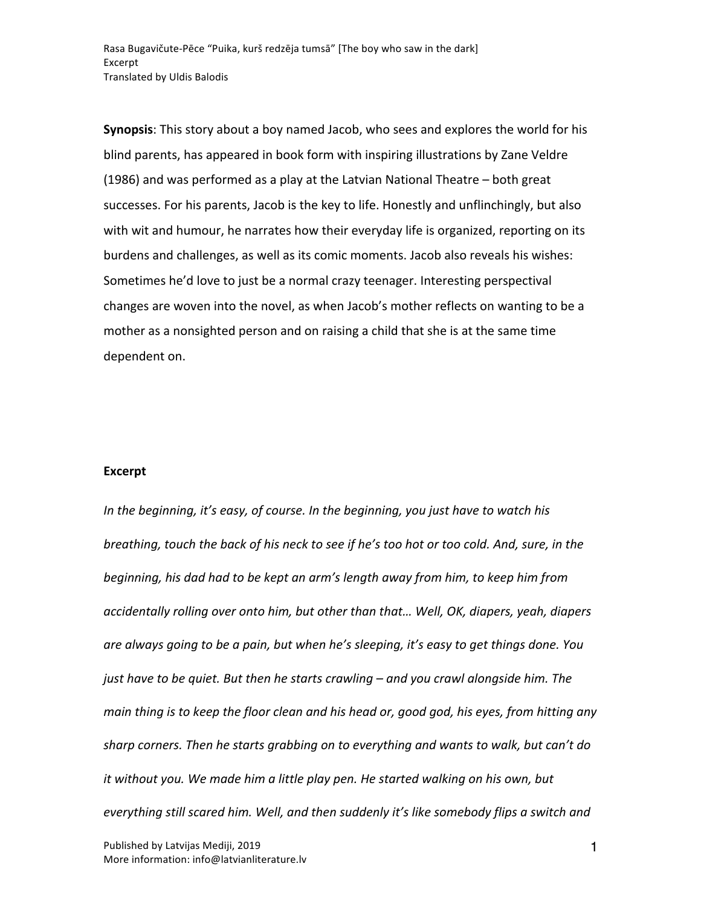Rasa Bugavičute-Pēce "Puika, kurš redzēja tumsā" [The boy who saw in the dark] Excerpt Translated by Uldis Balodis

**Synopsis:** This story about a boy named Jacob, who sees and explores the world for his blind parents, has appeared in book form with inspiring illustrations by Zane Veldre (1986) and was performed as a play at the Latvian National Theatre  $-$  both great successes. For his parents, Jacob is the key to life. Honestly and unflinchingly, but also with wit and humour, he narrates how their everyday life is organized, reporting on its burdens and challenges, as well as its comic moments. Jacob also reveals his wishes: Sometimes he'd love to just be a normal crazy teenager. Interesting perspectival changes are woven into the novel, as when Jacob's mother reflects on wanting to be a mother as a nonsighted person and on raising a child that she is at the same time dependent on.

## **Excerpt**

*In* the beginning, it's easy, of course. In the beginning, you just have to watch his *breathing, touch the back of his neck to see if he's too hot or too cold. And, sure, in the beginning, his dad had to be kept an arm's length away from him, to keep him from accidentally rolling over onto him, but other than that... Well, OK, diapers, yeah, diapers are always going to be a pain, but when he's sleeping, it's easy to get things done. You just have to be quiet. But then he starts crawling* – and you crawl alongside him. The *main thing is to keep the floor clean and his head or, good god, his eyes, from hitting any* sharp corners. Then he starts grabbing on to everything and wants to walk, but can't do *it* without you. We made him a little play pen. He started walking on his own, but everything still scared him. Well, and then suddenly it's like somebody flips a switch and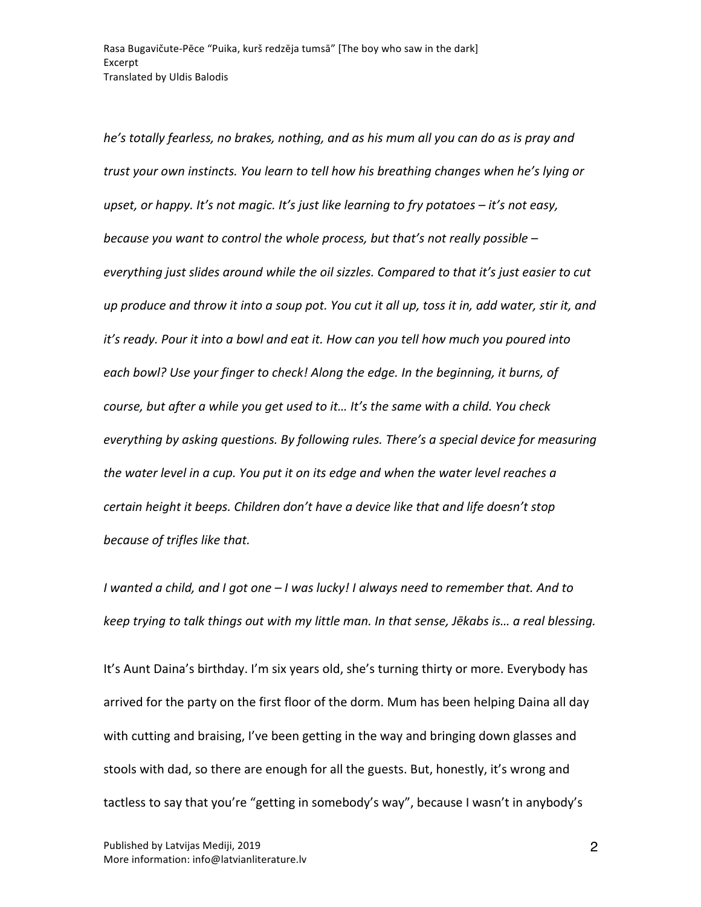*he's* totally fearless, no brakes, nothing, and as his mum all you can do as is pray and *trust* your own instincts. You learn to tell how his breathing changes when he's lying or *upset, or happy.* It's not magic. It's just like learning to fry potatoes – it's not easy, *because you want to control the whole process, but that's not really possible – everything just slides around while the oil sizzles. Compared to that it's just easier to cut up* produce and throw it into a soup pot. You cut it all up, toss it in, add water, stir it, and *it's* ready. Pour it into a bowl and eat it. How can you tell how much you poured into each bowl? Use your finger to check! Along the edge. In the beginning, it burns, of *course, but after a while you get used to it... It's the same with a child. You check everything by asking questions. By following rules. There's a special device for measuring the water level in a cup. You put it on its edge and when the water level reaches a certain height it beeps. Children don't have a device like that and life doesn't stop because of trifles like that.*

*I* wanted a child, and *I* got one  $-$  *I* was lucky! *I* always need to remember that. And to *keep* trying to talk things out with my little man. In that sense, Jēkabs is... a real blessing.

It's Aunt Daina's birthday. I'm six years old, she's turning thirty or more. Everybody has arrived for the party on the first floor of the dorm. Mum has been helping Daina all day with cutting and braising, I've been getting in the way and bringing down glasses and stools with dad, so there are enough for all the guests. But, honestly, it's wrong and tactless to say that you're "getting in somebody's way", because I wasn't in anybody's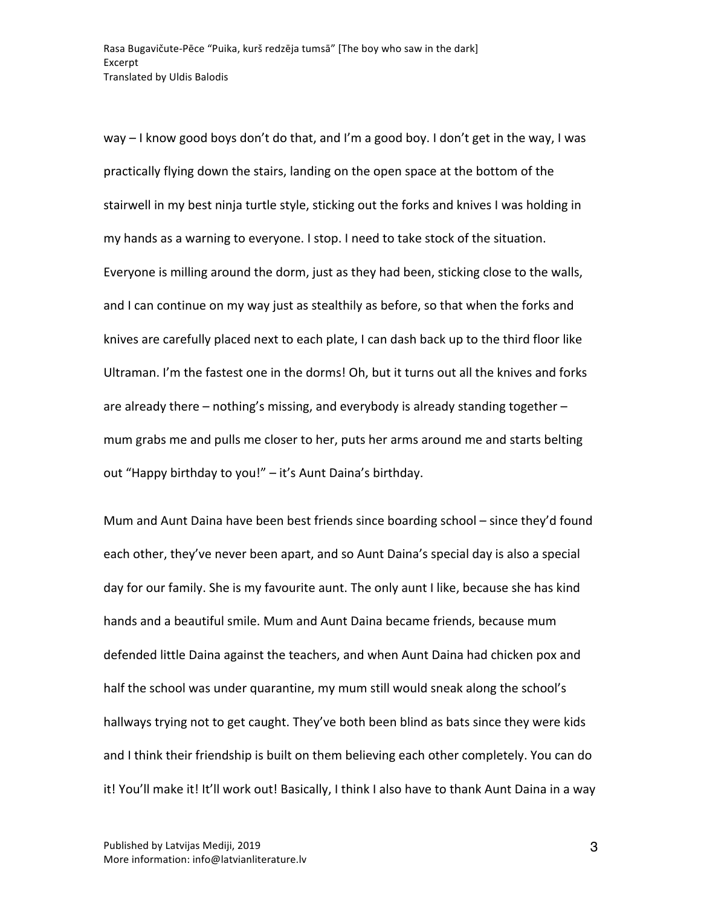way  $-1$  know good boys don't do that, and I'm a good boy. I don't get in the way, I was practically flying down the stairs, landing on the open space at the bottom of the stairwell in my best ninja turtle style, sticking out the forks and knives I was holding in my hands as a warning to everyone. I stop. I need to take stock of the situation. Everyone is milling around the dorm, just as they had been, sticking close to the walls, and I can continue on my way just as stealthily as before, so that when the forks and knives are carefully placed next to each plate, I can dash back up to the third floor like Ultraman. I'm the fastest one in the dorms! Oh, but it turns out all the knives and forks are already there  $-$  nothing's missing, and everybody is already standing together  $$ mum grabs me and pulls me closer to her, puts her arms around me and starts belting out "Happy birthday to you!" - it's Aunt Daina's birthday.

Mum and Aunt Daina have been best friends since boarding school – since they'd found each other, they've never been apart, and so Aunt Daina's special day is also a special day for our family. She is my favourite aunt. The only aunt I like, because she has kind hands and a beautiful smile. Mum and Aunt Daina became friends, because mum defended little Daina against the teachers, and when Aunt Daina had chicken pox and half the school was under quarantine, my mum still would sneak along the school's hallways trying not to get caught. They've both been blind as bats since they were kids and I think their friendship is built on them believing each other completely. You can do it! You'll make it! It'll work out! Basically, I think I also have to thank Aunt Daina in a way

3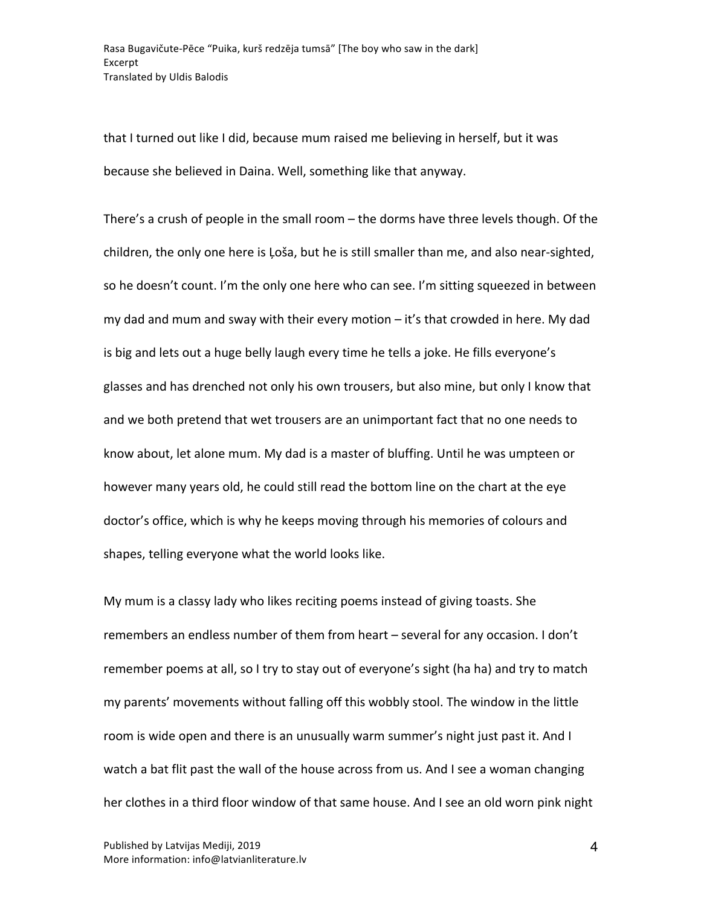that I turned out like I did, because mum raised me believing in herself, but it was because she believed in Daina. Well, something like that anyway.

There's a crush of people in the small room  $-$  the dorms have three levels though. Of the children, the only one here is Loša, but he is still smaller than me, and also near-sighted, so he doesn't count. I'm the only one here who can see. I'm sitting squeezed in between my dad and mum and sway with their every motion  $-$  it's that crowded in here. My dad is big and lets out a huge belly laugh every time he tells a joke. He fills everyone's glasses and has drenched not only his own trousers, but also mine, but only I know that and we both pretend that wet trousers are an unimportant fact that no one needs to know about, let alone mum. My dad is a master of bluffing. Until he was umpteen or however many years old, he could still read the bottom line on the chart at the eye doctor's office, which is why he keeps moving through his memories of colours and shapes, telling everyone what the world looks like.

My mum is a classy lady who likes reciting poems instead of giving toasts. She remembers an endless number of them from heart - several for any occasion. I don't remember poems at all, so I try to stay out of everyone's sight (ha ha) and try to match my parents' movements without falling off this wobbly stool. The window in the little room is wide open and there is an unusually warm summer's night just past it. And I watch a bat flit past the wall of the house across from us. And I see a woman changing her clothes in a third floor window of that same house. And I see an old worn pink night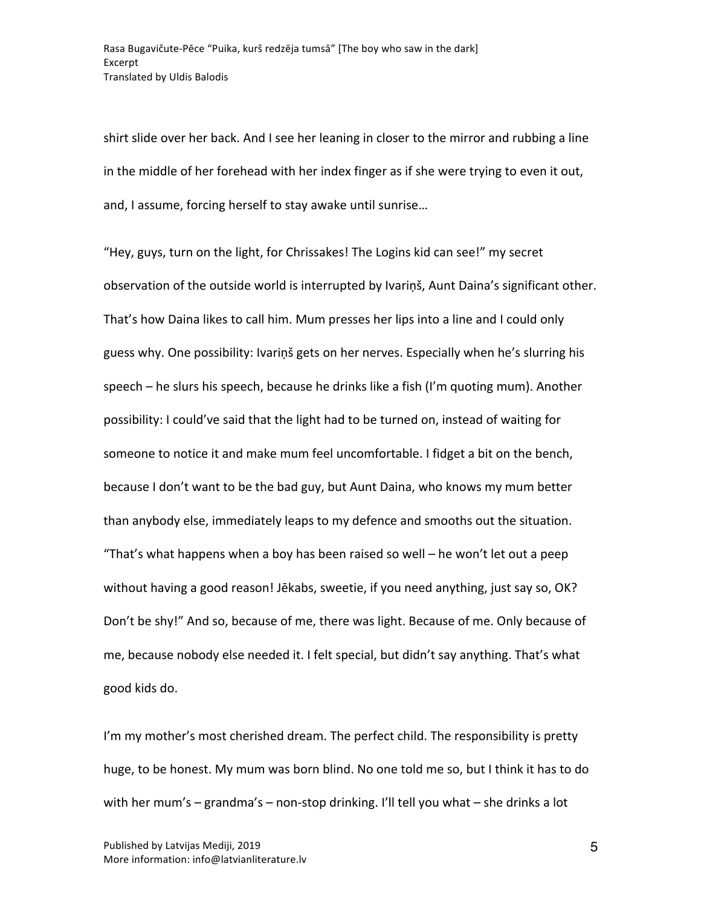shirt slide over her back. And I see her leaning in closer to the mirror and rubbing a line in the middle of her forehead with her index finger as if she were trying to even it out, and, I assume, forcing herself to stay awake until sunrise...

"Hey, guys, turn on the light, for Chrissakes! The Logins kid can see!" my secret observation of the outside world is interrupted by Ivarinš, Aunt Daina's significant other. That's how Daina likes to call him. Mum presses her lips into a line and I could only guess why. One possibility: Ivariņš gets on her nerves. Especially when he's slurring his speech – he slurs his speech, because he drinks like a fish (I'm quoting mum). Another possibility: I could've said that the light had to be turned on, instead of waiting for someone to notice it and make mum feel uncomfortable. I fidget a bit on the bench, because I don't want to be the bad guy, but Aunt Daina, who knows my mum better than anybody else, immediately leaps to my defence and smooths out the situation. "That's what happens when a boy has been raised so well – he won't let out a peep without having a good reason! Jēkabs, sweetie, if you need anything, just say so, OK? Don't be shy!" And so, because of me, there was light. Because of me. Only because of me, because nobody else needed it. I felt special, but didn't say anything. That's what good kids do.

I'm my mother's most cherished dream. The perfect child. The responsibility is pretty huge, to be honest. My mum was born blind. No one told me so, but I think it has to do with her mum's  $-$  grandma's  $-$  non-stop drinking. I'll tell you what  $-$  she drinks a lot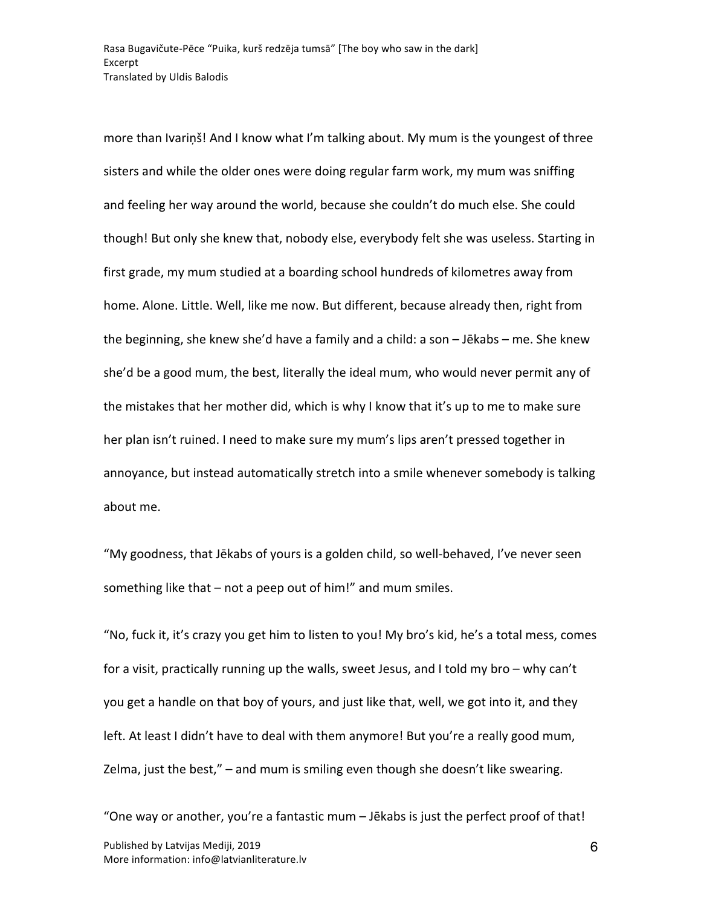more than Ivariņš! And I know what I'm talking about. My mum is the youngest of three sisters and while the older ones were doing regular farm work, my mum was sniffing and feeling her way around the world, because she couldn't do much else. She could though! But only she knew that, nobody else, everybody felt she was useless. Starting in first grade, my mum studied at a boarding school hundreds of kilometres away from home. Alone. Little. Well, like me now. But different, because already then, right from the beginning, she knew she'd have a family and a child: a son  $-$  Jēkabs  $-$  me. She knew she'd be a good mum, the best, literally the ideal mum, who would never permit any of the mistakes that her mother did, which is why I know that it's up to me to make sure her plan isn't ruined. I need to make sure my mum's lips aren't pressed together in annoyance, but instead automatically stretch into a smile whenever somebody is talking about me.

"My goodness, that Jēkabs of yours is a golden child, so well-behaved, I've never seen something like that  $-$  not a peep out of him!" and mum smiles.

"No, fuck it, it's crazy you get him to listen to you! My bro's kid, he's a total mess, comes for a visit, practically running up the walls, sweet Jesus, and I told my bro – why can't you get a handle on that boy of yours, and just like that, well, we got into it, and they left. At least I didn't have to deal with them anymore! But you're a really good mum, Zelma, just the best,"  $-$  and mum is smiling even though she doesn't like swearing.

Published by Latvijas Mediji, 2019 More information: info@latvianliterature.lv "One way or another, you're a fantastic mum  $-$  Jēkabs is just the perfect proof of that!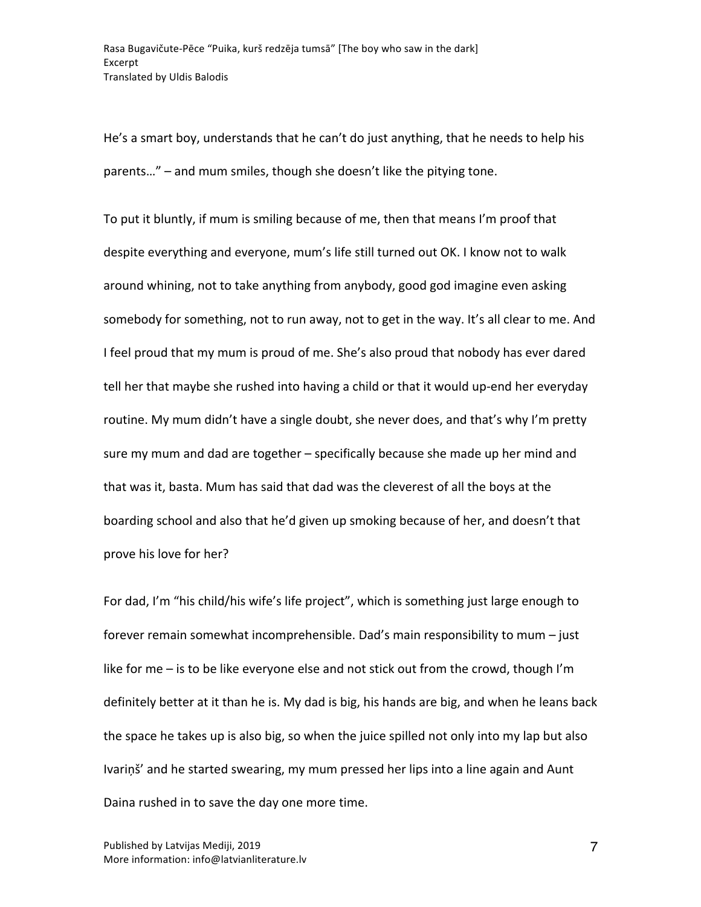He's a smart boy, understands that he can't do just anything, that he needs to help his parents..." – and mum smiles, though she doesn't like the pitying tone.

To put it bluntly, if mum is smiling because of me, then that means I'm proof that despite everything and everyone, mum's life still turned out OK. I know not to walk around whining, not to take anything from anybody, good god imagine even asking somebody for something, not to run away, not to get in the way. It's all clear to me. And I feel proud that my mum is proud of me. She's also proud that nobody has ever dared tell her that maybe she rushed into having a child or that it would up-end her everyday routine. My mum didn't have a single doubt, she never does, and that's why I'm pretty sure my mum and dad are together - specifically because she made up her mind and that was it, basta. Mum has said that dad was the cleverest of all the boys at the boarding school and also that he'd given up smoking because of her, and doesn't that prove his love for her?

For dad, I'm "his child/his wife's life project", which is something just large enough to forever remain somewhat incomprehensible. Dad's main responsibility to mum – just like for me  $-$  is to be like everyone else and not stick out from the crowd, though I'm definitely better at it than he is. My dad is big, his hands are big, and when he leans back the space he takes up is also big, so when the juice spilled not only into my lap but also Ivarinš' and he started swearing, my mum pressed her lips into a line again and Aunt Daina rushed in to save the day one more time.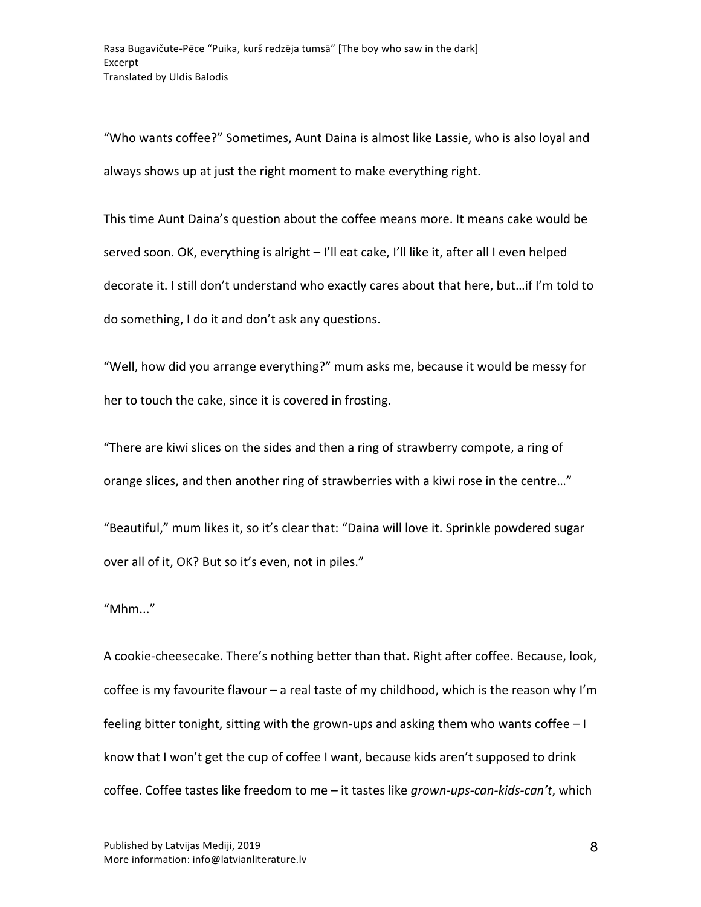"Who wants coffee?" Sometimes, Aunt Daina is almost like Lassie, who is also loyal and always shows up at just the right moment to make everything right.

This time Aunt Daina's question about the coffee means more. It means cake would be served soon. OK, everything is alright - I'll eat cake, I'll like it, after all I even helped decorate it. I still don't understand who exactly cares about that here, but...if I'm told to do something, I do it and don't ask any questions.

"Well, how did you arrange everything?" mum asks me, because it would be messy for her to touch the cake, since it is covered in frosting.

"There are kiwi slices on the sides and then a ring of strawberry compote, a ring of orange slices, and then another ring of strawberries with a kiwi rose in the centre..."

"Beautiful," mum likes it, so it's clear that: "Daina will love it. Sprinkle powdered sugar over all of it, OK? But so it's even, not in piles."

"Mhm..." 

A cookie-cheesecake. There's nothing better than that. Right after coffee. Because, look, coffee is my favourite flavour  $-$  a real taste of my childhood, which is the reason why I'm feeling bitter tonight, sitting with the grown-ups and asking them who wants coffee  $-1$ know that I won't get the cup of coffee I want, because kids aren't supposed to drink coffee. Coffee tastes like freedom to me - it tastes like grown-ups-can-kids-can't, which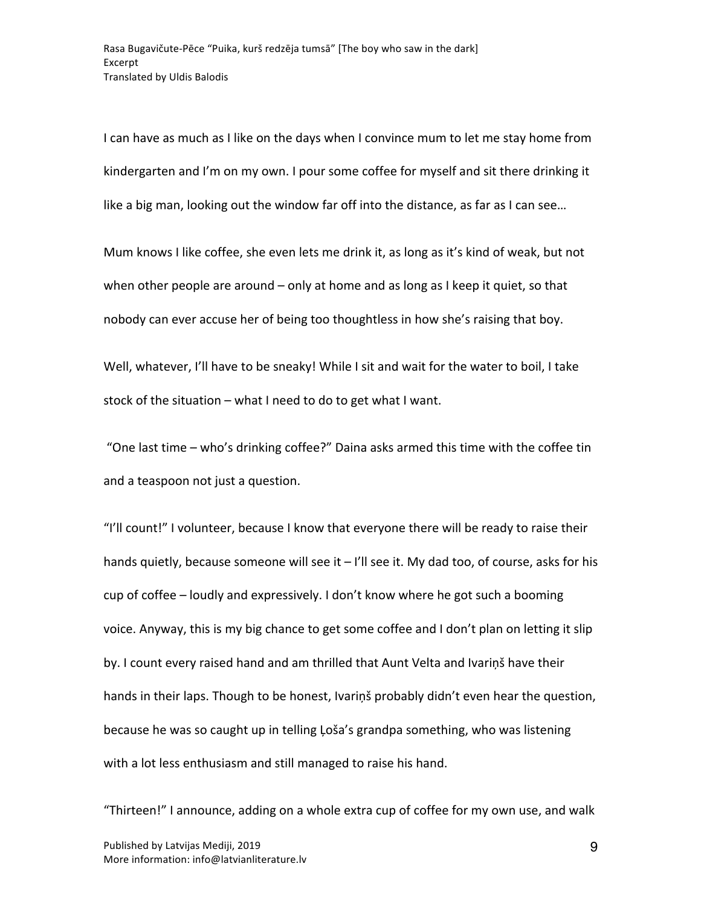I can have as much as I like on the days when I convince mum to let me stay home from kindergarten and I'm on my own. I pour some coffee for myself and sit there drinking it like a big man, looking out the window far off into the distance, as far as I can see...

Mum knows I like coffee, she even lets me drink it, as long as it's kind of weak, but not when other people are around  $-$  only at home and as long as I keep it quiet, so that nobody can ever accuse her of being too thoughtless in how she's raising that boy.

Well, whatever, I'll have to be sneaky! While I sit and wait for the water to boil, I take stock of the situation  $-$  what I need to do to get what I want.

"One last time - who's drinking coffee?" Daina asks armed this time with the coffee tin and a teaspoon not just a question.

"I'll count!" I volunteer, because I know that everyone there will be ready to raise their hands quietly, because someone will see it  $-$  I'll see it. My dad too, of course, asks for his cup of coffee – loudly and expressively. I don't know where he got such a booming voice. Anyway, this is my big chance to get some coffee and I don't plan on letting it slip by. I count every raised hand and am thrilled that Aunt Velta and Ivariņš have their hands in their laps. Though to be honest, Ivariņš probably didn't even hear the question, because he was so caught up in telling Loša's grandpa something, who was listening with a lot less enthusiasm and still managed to raise his hand.

"Thirteen!" I announce, adding on a whole extra cup of coffee for my own use, and walk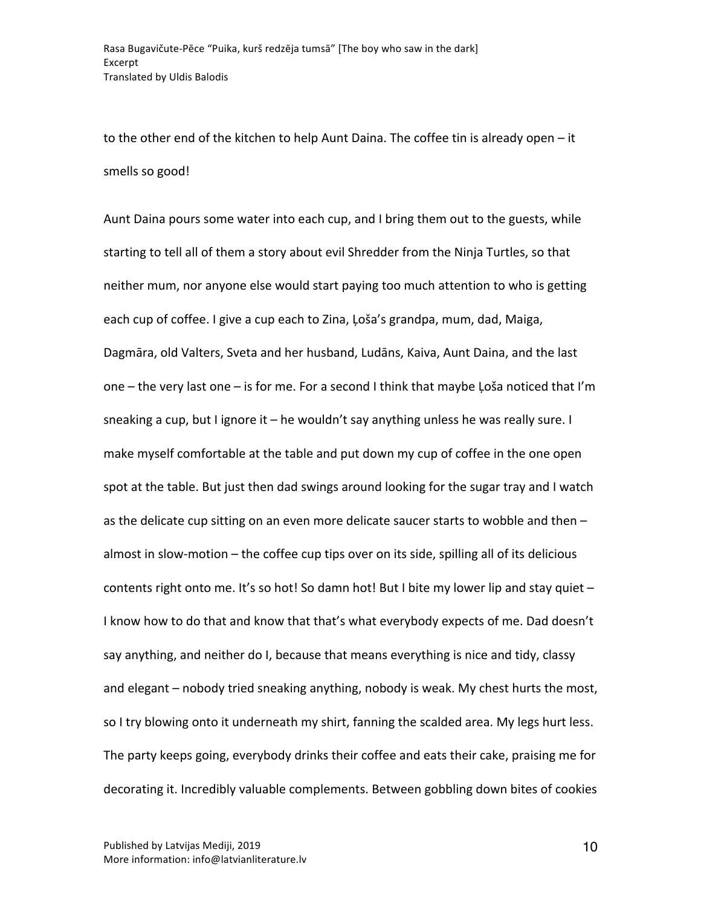to the other end of the kitchen to help Aunt Daina. The coffee tin is already open  $-$  it smells so good!

Aunt Daina pours some water into each cup, and I bring them out to the guests, while starting to tell all of them a story about evil Shredder from the Ninja Turtles, so that neither mum, nor anyone else would start paying too much attention to who is getting each cup of coffee. I give a cup each to Zina, Loša's grandpa, mum, dad, Maiga, Dagmāra, old Valters, Sveta and her husband, Ludāns, Kaiva, Aunt Daina, and the last one – the very last one – is for me. For a second I think that maybe Loša noticed that I'm sneaking a cup, but I ignore it  $-$  he wouldn't say anything unless he was really sure. I make myself comfortable at the table and put down my cup of coffee in the one open spot at the table. But just then dad swings around looking for the sugar tray and I watch as the delicate cup sitting on an even more delicate saucer starts to wobble and then  $$ almost in slow-motion  $-$  the coffee cup tips over on its side, spilling all of its delicious contents right onto me. It's so hot! So damn hot! But I bite my lower lip and stay quiet  $-$ I know how to do that and know that that's what everybody expects of me. Dad doesn't say anything, and neither do I, because that means everything is nice and tidy, classy and elegant – nobody tried sneaking anything, nobody is weak. My chest hurts the most, so I try blowing onto it underneath my shirt, fanning the scalded area. My legs hurt less. The party keeps going, everybody drinks their coffee and eats their cake, praising me for decorating it. Incredibly valuable complements. Between gobbling down bites of cookies

10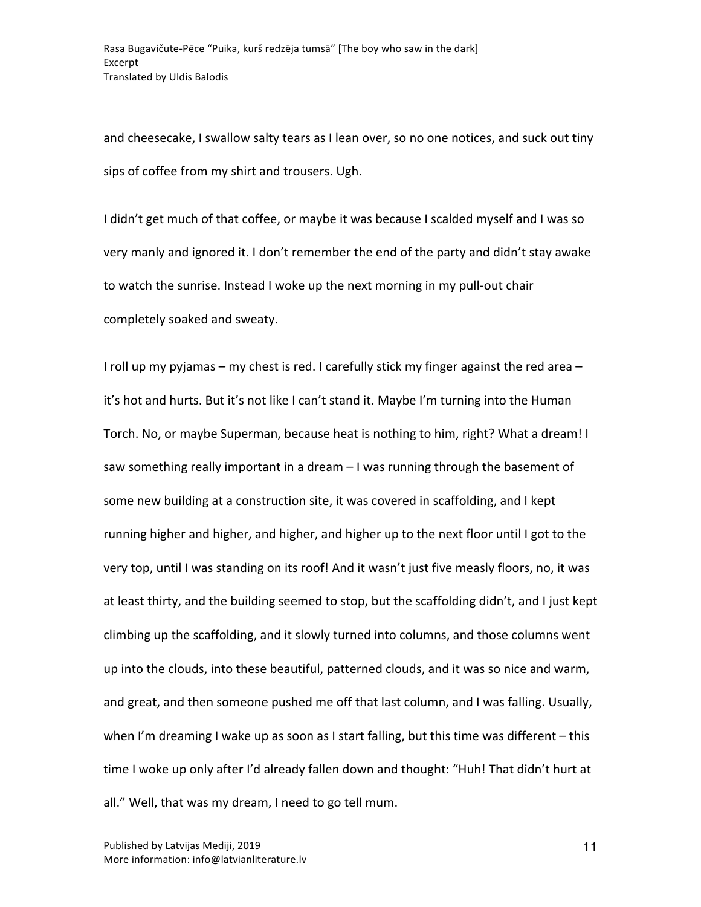and cheesecake, I swallow salty tears as I lean over, so no one notices, and suck out tiny sips of coffee from my shirt and trousers. Ugh.

I didn't get much of that coffee, or maybe it was because I scalded myself and I was so very manly and ignored it. I don't remember the end of the party and didn't stay awake to watch the sunrise. Instead I woke up the next morning in my pull-out chair completely soaked and sweaty.

I roll up my pyjamas – my chest is red. I carefully stick my finger against the red area – it's hot and hurts. But it's not like I can't stand it. Maybe I'm turning into the Human Torch. No, or maybe Superman, because heat is nothing to him, right? What a dream! I saw something really important in a dream  $-1$  was running through the basement of some new building at a construction site, it was covered in scaffolding, and I kept running higher and higher, and higher, and higher up to the next floor until I got to the very top, until I was standing on its roof! And it wasn't just five measly floors, no, it was at least thirty, and the building seemed to stop, but the scaffolding didn't, and I just kept climbing up the scaffolding, and it slowly turned into columns, and those columns went up into the clouds, into these beautiful, patterned clouds, and it was so nice and warm, and great, and then someone pushed me off that last column, and I was falling. Usually, when I'm dreaming I wake up as soon as I start falling, but this time was different  $-$  this time I woke up only after I'd already fallen down and thought: "Huh! That didn't hurt at all." Well, that was my dream, I need to go tell mum.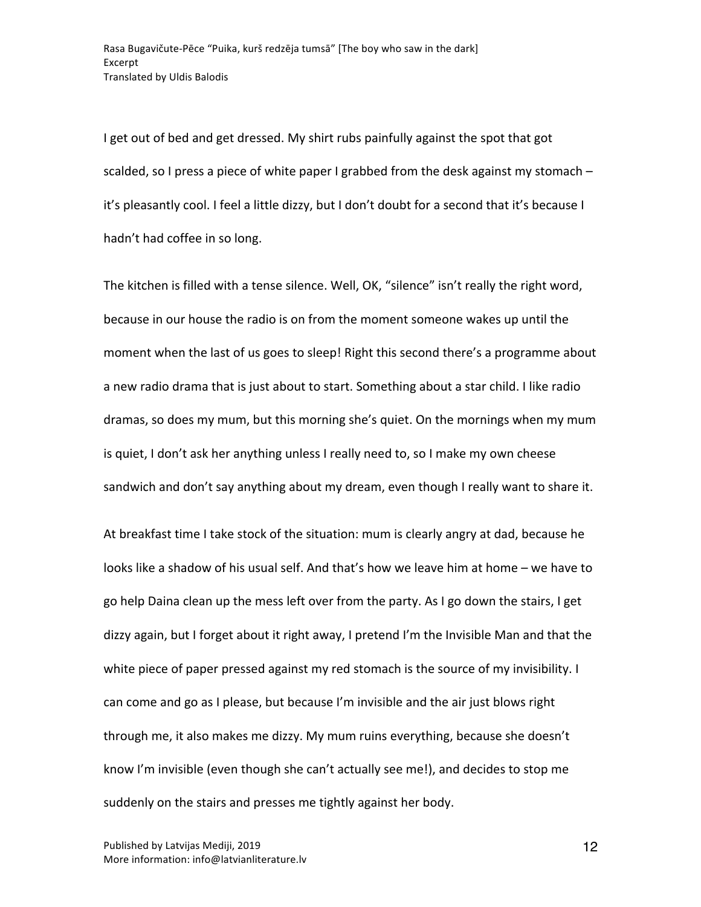I get out of bed and get dressed. My shirt rubs painfully against the spot that got scalded, so I press a piece of white paper I grabbed from the desk against my stomach  $$ it's pleasantly cool. I feel a little dizzy, but I don't doubt for a second that it's because I hadn't had coffee in so long.

The kitchen is filled with a tense silence. Well, OK, "silence" isn't really the right word, because in our house the radio is on from the moment someone wakes up until the moment when the last of us goes to sleep! Right this second there's a programme about a new radio drama that is just about to start. Something about a star child. I like radio dramas, so does my mum, but this morning she's quiet. On the mornings when my mum is quiet, I don't ask her anything unless I really need to, so I make my own cheese sandwich and don't say anything about my dream, even though I really want to share it.

At breakfast time I take stock of the situation: mum is clearly angry at dad, because he looks like a shadow of his usual self. And that's how we leave him at home – we have to go help Daina clean up the mess left over from the party. As I go down the stairs, I get dizzy again, but I forget about it right away, I pretend I'm the Invisible Man and that the white piece of paper pressed against my red stomach is the source of my invisibility. I can come and go as I please, but because I'm invisible and the air just blows right through me, it also makes me dizzy. My mum ruins everything, because she doesn't know I'm invisible (even though she can't actually see me!), and decides to stop me suddenly on the stairs and presses me tightly against her body.

12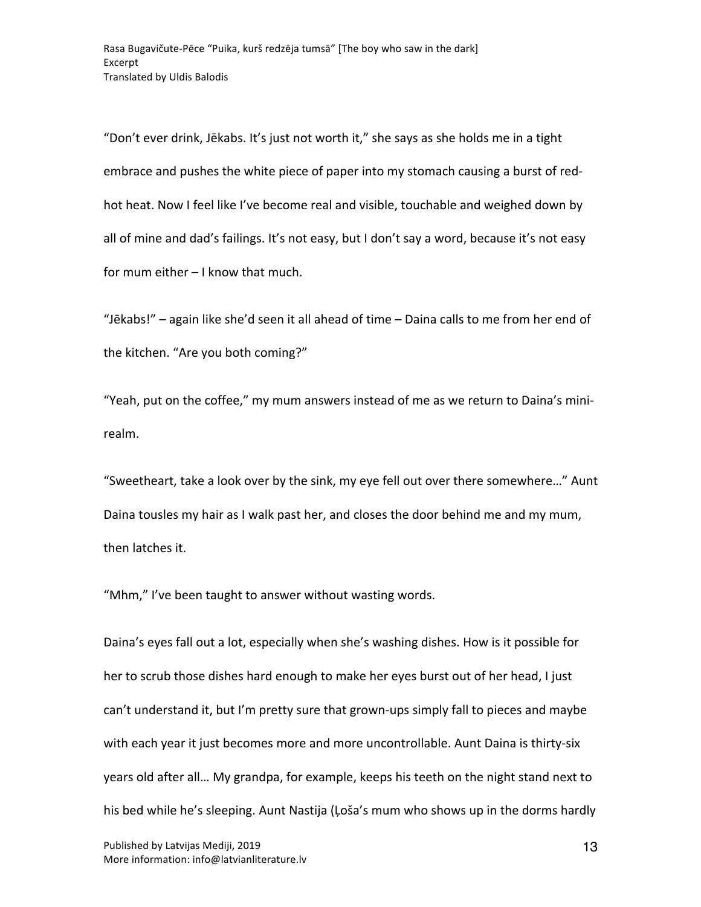"Don't ever drink, Jēkabs. It's just not worth it," she says as she holds me in a tight embrace and pushes the white piece of paper into my stomach causing a burst of redhot heat. Now I feel like I've become real and visible, touchable and weighed down by all of mine and dad's failings. It's not easy, but I don't say a word, because it's not easy for mum either  $-1$  know that much.

"Jēkabs!"  $-$  again like she'd seen it all ahead of time  $-$  Daina calls to me from her end of the kitchen. "Are you both coming?"

"Yeah, put on the coffee," my mum answers instead of me as we return to Daina's minirealm.

"Sweetheart, take a look over by the sink, my eye fell out over there somewhere..." Aunt Daina tousles my hair as I walk past her, and closes the door behind me and my mum, then latches it.

"Mhm," I've been taught to answer without wasting words.

Daina's eyes fall out a lot, especially when she's washing dishes. How is it possible for her to scrub those dishes hard enough to make her eyes burst out of her head, I just can't understand it, but I'm pretty sure that grown-ups simply fall to pieces and maybe with each year it just becomes more and more uncontrollable. Aunt Daina is thirty-six years old after all... My grandpa, for example, keeps his teeth on the night stand next to his bed while he's sleeping. Aunt Nastija (Loša's mum who shows up in the dorms hardly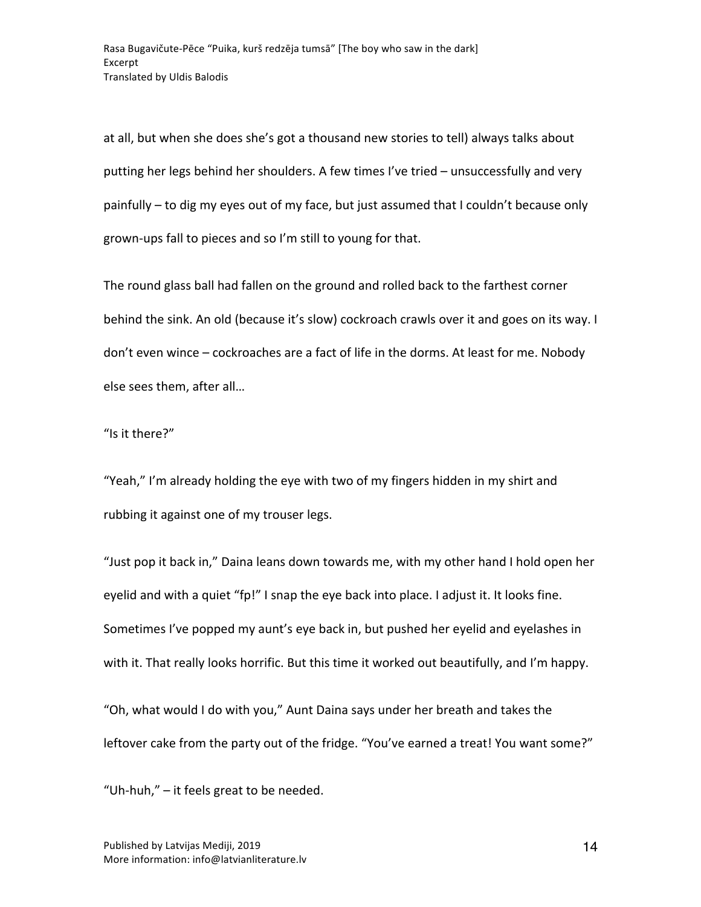at all, but when she does she's got a thousand new stories to tell) always talks about putting her legs behind her shoulders. A few times I've tried – unsuccessfully and very painfully  $-$  to dig my eyes out of my face, but just assumed that I couldn't because only grown-ups fall to pieces and so I'm still to young for that.

The round glass ball had fallen on the ground and rolled back to the farthest corner behind the sink. An old (because it's slow) cockroach crawls over it and goes on its way. I don't even wince – cockroaches are a fact of life in the dorms. At least for me. Nobody else sees them, after all...

"Is it there?"

"Yeah," I'm already holding the eye with two of my fingers hidden in my shirt and rubbing it against one of my trouser legs.

"Just pop it back in," Daina leans down towards me, with my other hand I hold open her eyelid and with a quiet "fp!" I snap the eye back into place. I adjust it. It looks fine. Sometimes I've popped my aunt's eye back in, but pushed her eyelid and eyelashes in with it. That really looks horrific. But this time it worked out beautifully, and I'm happy.

"Oh, what would I do with you," Aunt Daina says under her breath and takes the leftover cake from the party out of the fridge. "You've earned a treat! You want some?"

"Uh-huh,"  $-$  it feels great to be needed.